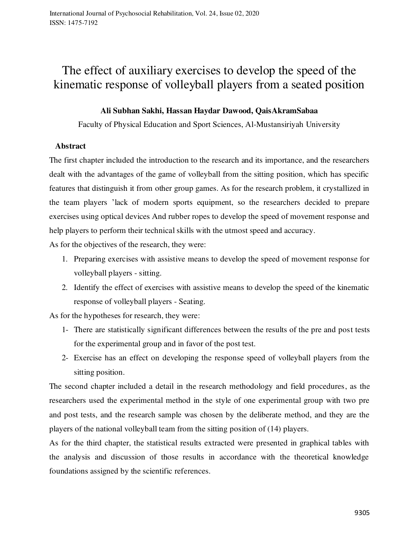# The effect of auxiliary exercises to develop the speed of the kinematic response of volleyball players from a seated position

#### **Ali Subhan Sakhi, Hassan Haydar Dawood, QaisAkramSabaa**

Faculty of Physical Education and Sport Sciences, Al-Mustansiriyah University

#### **Abstract**

The first chapter included the introduction to the research and its importance, and the researchers dealt with the advantages of the game of volleyball from the sitting position, which has specific features that distinguish it from other group games. As for the research problem, it crystallized in the team players 'lack of modern sports equipment, so the researchers decided to prepare exercises using optical devices And rubber ropes to develop the speed of movement response and help players to perform their technical skills with the utmost speed and accuracy.

As for the objectives of the research, they were:

- 1. Preparing exercises with assistive means to develop the speed of movement response for volleyball players - sitting.
- 2. Identify the effect of exercises with assistive means to develop the speed of the kinematic response of volleyball players - Seating.

As for the hypotheses for research, they were:

- 1- There are statistically significant differences between the results of the pre and post tests for the experimental group and in favor of the post test.
- 2- Exercise has an effect on developing the response speed of volleyball players from the sitting position.

The second chapter included a detail in the research methodology and field procedures, as the researchers used the experimental method in the style of one experimental group with two pre and post tests, and the research sample was chosen by the deliberate method, and they are the players of the national volleyball team from the sitting position of (14) players.

As for the third chapter, the statistical results extracted were presented in graphical tables with the analysis and discussion of those results in accordance with the theoretical knowledge foundations assigned by the scientific references.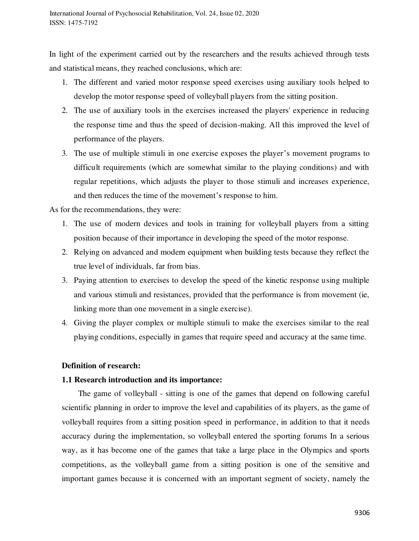In light of the experiment carried out by the researchers and the results achieved through tests and statistical means, they reached conclusions, which are:

- 1. The different and varied motor response speed exercises using auxiliary tools helped to develop the motor response speed of volleyball players from the sitting position.
- 2. The use of auxiliary tools in the exercises increased the players' experience in reducing the response time and thus the speed of decision-making. All this improved the level of performance of the players.
- 3. The use of multiple stimuli in one exercise exposes the player's movement programs to difficult requirements (which are somewhat similar to the playing conditions) and with regular repetitions, which adjusts the player to those stimuli and increases experience, and then reduces the time of the movement's response to him.

As for the recommendations, they were:

- 1. The use of modern devices and tools in training for volleyball players from a sitting position because of their importance in developing the speed of the motor response.
- 2. Relying on advanced and modern equipment when building tests because they reflect the true level of individuals, far from bias.
- 3. Paying attention to exercises to develop the speed of the kinetic response using multiple and various stimuli and resistances, provided that the performance is from movement (ie, linking more than one movement in a single exercise).
- 4. Giving the player complex or multiple stimuli to make the exercises similar to the real playing conditions, especially in games that require speed and accuracy at the same time.

#### **Definition of research:**

#### **1.1 Research introduction and its importance:**

 The game of volleyball - sitting is one of the games that depend on following careful scientific planning in order to improve the level and capabilities of its players, as the game of volleyball requires from a sitting position speed in performance, in addition to that it needs accuracy during the implementation, so volleyball entered the sporting forums In a serious way, as it has become one of the games that take a large place in the Olympics and sports competitions, as the volleyball game from a sitting position is one of the sensitive and important games because it is concerned with an important segment of society, namely the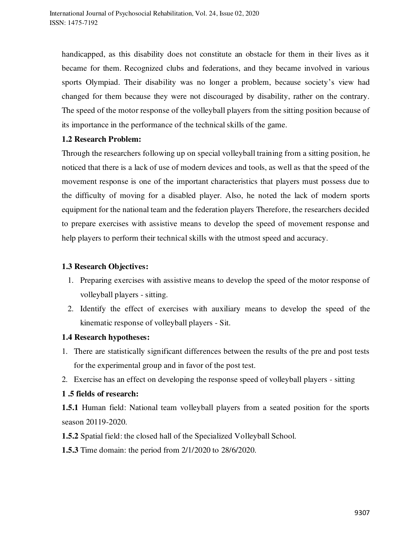handicapped, as this disability does not constitute an obstacle for them in their lives as it became for them. Recognized clubs and federations, and they became involved in various sports Olympiad. Their disability was no longer a problem, because society's view had changed for them because they were not discouraged by disability, rather on the contrary. The speed of the motor response of the volleyball players from the sitting position because of its importance in the performance of the technical skills of the game.

#### **1.2 Research Problem:**

Through the researchers following up on special volleyball training from a sitting position, he noticed that there is a lack of use of modern devices and tools, as well as that the speed of the movement response is one of the important characteristics that players must possess due to the difficulty of moving for a disabled player. Also, he noted the lack of modern sports equipment for the national team and the federation players Therefore, the researchers decided to prepare exercises with assistive means to develop the speed of movement response and help players to perform their technical skills with the utmost speed and accuracy.

#### **1.3 Research Objectives:**

- 1. Preparing exercises with assistive means to develop the speed of the motor response of volleyball players - sitting.
- 2. Identify the effect of exercises with auxiliary means to develop the speed of the kinematic response of volleyball players - Sit.

#### **1.4 Research hypotheses:**

- 1. There are statistically significant differences between the results of the pre and post tests for the experimental group and in favor of the post test.
- 2. Exercise has an effect on developing the response speed of volleyball players sitting

#### **1 .5 fields of research:**

**1.5.1** Human field: National team volleyball players from a seated position for the sports season 20119-2020.

**1.5.2** Spatial field: the closed hall of the Specialized Volleyball School.

**1.5.3** Time domain: the period from 2/1/2020 to 28/6/2020.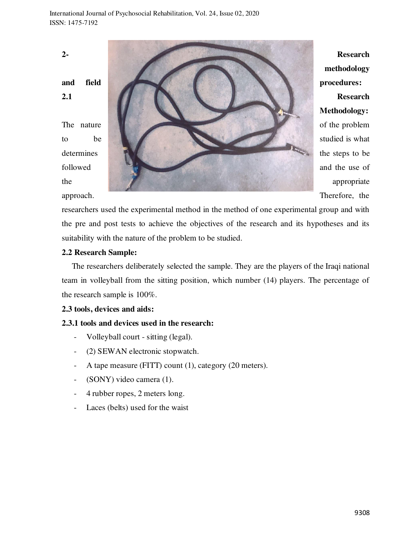**2- Research methodology**  and field **procedures: procedures: 2.1** Research **Methodology:**  The nature of the problem to be studied is what determines the steps to be the steps to be followed and the use of the appropriate appropriate appropriate

approach. Therefore, the researchers used the experimental method in the method of one experimental group and with the pre and post tests to achieve the objectives of the research and its hypotheses and its

#### **2.2 Research Sample:**

 The researchers deliberately selected the sample. They are the players of the Iraqi national team in volleyball from the sitting position, which number (14) players. The percentage of the research sample is 100%.

#### **2.3 tools, devices and aids:**

#### **2.3.1 tools and devices used in the research:**

suitability with the nature of the problem to be studied.

- Volleyball court sitting (legal).
- (2) SEWAN electronic stopwatch.
- A tape measure (FITT) count (1), category (20 meters).
- (SONY) video camera (1).
- 4 rubber ropes, 2 meters long.
- Laces (belts) used for the waist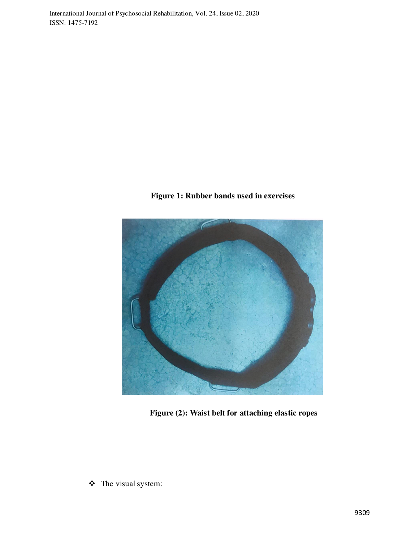**Figure 1: Rubber bands used in exercises** 



**Figure (2): Waist belt for attaching elastic ropes** 

The visual system: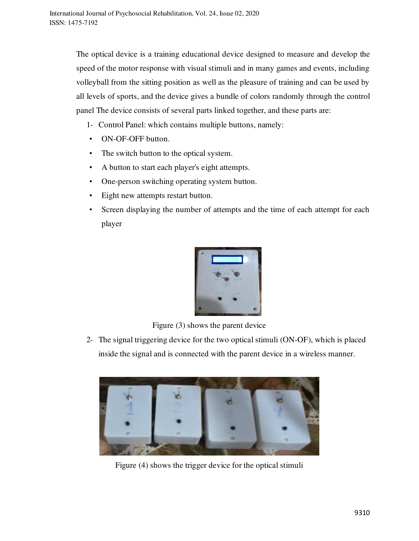The optical device is a training educational device designed to measure and develop the speed of the motor response with visual stimuli and in many games and events, including volleyball from the sitting position as well as the pleasure of training and can be used by all levels of sports, and the device gives a bundle of colors randomly through the control panel The device consists of several parts linked together, and these parts are:

- 1- Control Panel: which contains multiple buttons, namely:
- ON-OF-OFF button.
- The switch button to the optical system.
- A button to start each player's eight attempts.
- One-person switching operating system button.
- Eight new attempts restart button.
- Screen displaying the number of attempts and the time of each attempt for each player



Figure (3) shows the parent device

2- The signal triggering device for the two optical stimuli (ON-OF), which is placed inside the signal and is connected with the parent device in a wireless manner.



Figure (4) shows the trigger device for the optical stimuli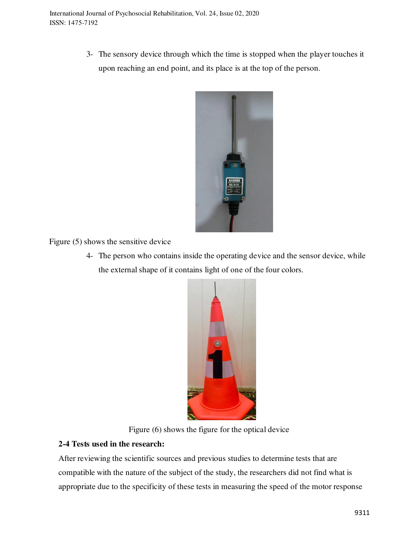3- The sensory device through which the time is stopped when the player touches it upon reaching an end point, and its place is at the top of the person.



Figure (5) shows the sensitive device

4- The person who contains inside the operating device and the sensor device, while the external shape of it contains light of one of the four colors.



Figure (6) shows the figure for the optical device

# **2-4 Tests used in the research:**

After reviewing the scientific sources and previous studies to determine tests that are compatible with the nature of the subject of the study, the researchers did not find what is appropriate due to the specificity of these tests in measuring the speed of the motor response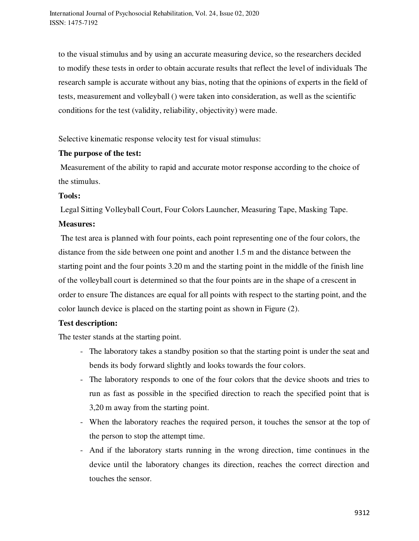to the visual stimulus and by using an accurate measuring device, so the researchers decided to modify these tests in order to obtain accurate results that reflect the level of individuals The research sample is accurate without any bias, noting that the opinions of experts in the field of tests, measurement and volleyball () were taken into consideration, as well as the scientific conditions for the test (validity, reliability, objectivity) were made.

Selective kinematic response velocity test for visual stimulus:

#### **The purpose of the test:**

 Measurement of the ability to rapid and accurate motor response according to the choice of the stimulus.

#### **Tools:**

Legal Sitting Volleyball Court, Four Colors Launcher, Measuring Tape, Masking Tape.

#### **Measures:**

 The test area is planned with four points, each point representing one of the four colors, the distance from the side between one point and another 1.5 m and the distance between the starting point and the four points 3.20 m and the starting point in the middle of the finish line of the volleyball court is determined so that the four points are in the shape of a crescent in order to ensure The distances are equal for all points with respect to the starting point, and the color launch device is placed on the starting point as shown in Figure (2).

### **Test description:**

The tester stands at the starting point.

- The laboratory takes a standby position so that the starting point is under the seat and bends its body forward slightly and looks towards the four colors.
- The laboratory responds to one of the four colors that the device shoots and tries to run as fast as possible in the specified direction to reach the specified point that is 3,20 m away from the starting point.
- When the laboratory reaches the required person, it touches the sensor at the top of the person to stop the attempt time.
- And if the laboratory starts running in the wrong direction, time continues in the device until the laboratory changes its direction, reaches the correct direction and touches the sensor.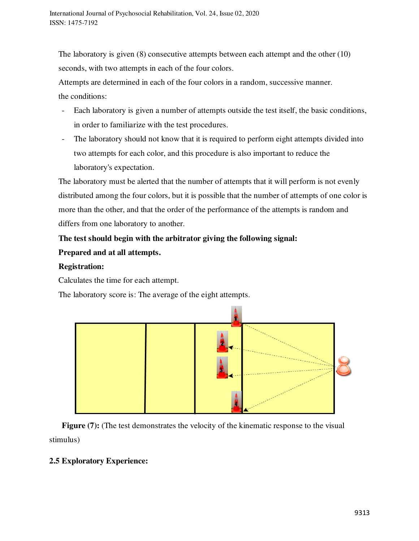The laboratory is given (8) consecutive attempts between each attempt and the other (10) seconds, with two attempts in each of the four colors.

Attempts are determined in each of the four colors in a random, successive manner. the conditions:

- Each laboratory is given a number of attempts outside the test itself, the basic conditions, in order to familiarize with the test procedures.
- The laboratory should not know that it is required to perform eight attempts divided into two attempts for each color, and this procedure is also important to reduce the laboratory's expectation.

The laboratory must be alerted that the number of attempts that it will perform is not evenly distributed among the four colors, but it is possible that the number of attempts of one color is more than the other, and that the order of the performance of the attempts is random and differs from one laboratory to another.

# **The test should begin with the arbitrator giving the following signal: Prepared and at all attempts.**

# **Registration:**

Calculates the time for each attempt.

The laboratory score is: The average of the eight attempts.



**Figure (7):** (The test demonstrates the velocity of the kinematic response to the visual stimulus)

# **2.5 Exploratory Experience:**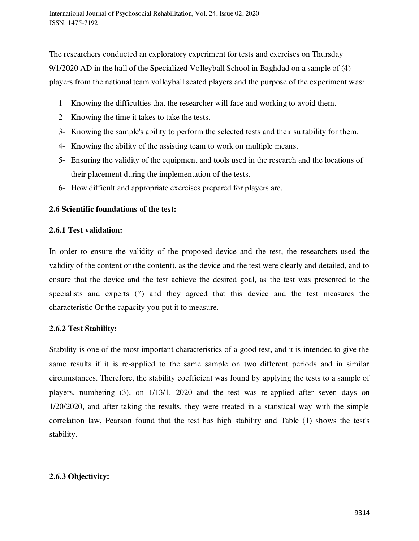The researchers conducted an exploratory experiment for tests and exercises on Thursday 9/1/2020 AD in the hall of the Specialized Volleyball School in Baghdad on a sample of (4) players from the national team volleyball seated players and the purpose of the experiment was:

- 1- Knowing the difficulties that the researcher will face and working to avoid them.
- 2- Knowing the time it takes to take the tests.
- 3- Knowing the sample's ability to perform the selected tests and their suitability for them.
- 4- Knowing the ability of the assisting team to work on multiple means.
- 5- Ensuring the validity of the equipment and tools used in the research and the locations of their placement during the implementation of the tests.
- 6- How difficult and appropriate exercises prepared for players are.

### **2.6 Scientific foundations of the test:**

#### **2.6.1 Test validation:**

In order to ensure the validity of the proposed device and the test, the researchers used the validity of the content or (the content), as the device and the test were clearly and detailed, and to ensure that the device and the test achieve the desired goal, as the test was presented to the specialists and experts (\*) and they agreed that this device and the test measures the characteristic Or the capacity you put it to measure.

### **2.6.2 Test Stability:**

Stability is one of the most important characteristics of a good test, and it is intended to give the same results if it is re-applied to the same sample on two different periods and in similar circumstances. Therefore, the stability coefficient was found by applying the tests to a sample of players, numbering (3), on 1/13/1. 2020 and the test was re-applied after seven days on 1/20/2020, and after taking the results, they were treated in a statistical way with the simple correlation law, Pearson found that the test has high stability and Table (1) shows the test's stability.

### **2.6.3 Objectivity:**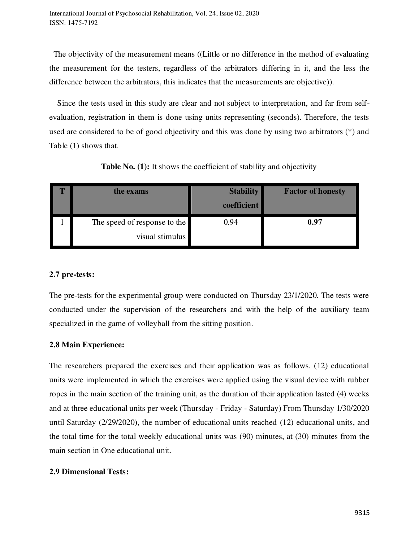The objectivity of the measurement means ((Little or no difference in the method of evaluating the measurement for the testers, regardless of the arbitrators differing in it, and the less the difference between the arbitrators, this indicates that the measurements are objective)).

 Since the tests used in this study are clear and not subject to interpretation, and far from selfevaluation, registration in them is done using units representing (seconds). Therefore, the tests used are considered to be of good objectivity and this was done by using two arbitrators (\*) and Table (1) shows that.

| the exams                    | <b>Stability</b><br>coefficient | <b>Factor of honesty</b> |
|------------------------------|---------------------------------|--------------------------|
| The speed of response to the | 0.94                            | 0.97                     |
| visual stimulus              |                                 |                          |

**Table No. (1):** It shows the coefficient of stability and objectivity

### **2.7 pre-tests:**

The pre-tests for the experimental group were conducted on Thursday 23/1/2020. The tests were conducted under the supervision of the researchers and with the help of the auxiliary team specialized in the game of volleyball from the sitting position.

### **2.8 Main Experience:**

The researchers prepared the exercises and their application was as follows. (12) educational units were implemented in which the exercises were applied using the visual device with rubber ropes in the main section of the training unit, as the duration of their application lasted (4) weeks and at three educational units per week (Thursday - Friday - Saturday) From Thursday 1/30/2020 until Saturday (2/29/2020), the number of educational units reached (12) educational units, and the total time for the total weekly educational units was (90) minutes, at (30) minutes from the main section in One educational unit.

### **2.9 Dimensional Tests:**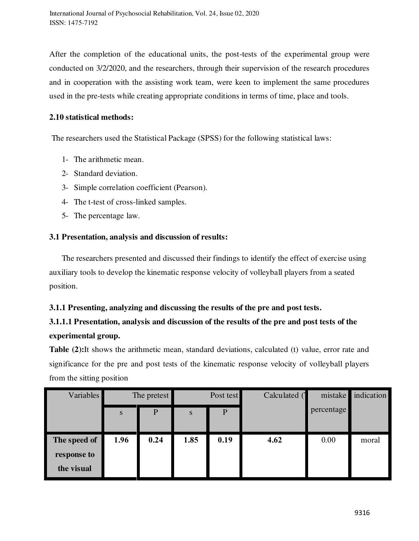After the completion of the educational units, the post-tests of the experimental group were conducted on 3/2/2020, and the researchers, through their supervision of the research procedures and in cooperation with the assisting work team, were keen to implement the same procedures used in the pre-tests while creating appropriate conditions in terms of time, place and tools.

#### **2.10 statistical methods:**

The researchers used the Statistical Package (SPSS) for the following statistical laws:

- 1- The arithmetic mean.
- 2- Standard deviation.
- 3- Simple correlation coefficient (Pearson).
- 4- The t-test of cross-linked samples.
- 5- The percentage law.

## **3.1 Presentation, analysis and discussion of results:**

 The researchers presented and discussed their findings to identify the effect of exercise using auxiliary tools to develop the kinematic response velocity of volleyball players from a seated position.

### **3.1.1 Presenting, analyzing and discussing the results of the pre and post tests.**

# **3.1.1.1 Presentation, analysis and discussion of the results of the pre and post tests of the experimental group.**

**Table (2):**It shows the arithmetic mean, standard deviations, calculated (t) value, error rate and significance for the pre and post tests of the kinematic response velocity of volleyball players from the sitting position

| <b>Variables</b> | The pretest |              | Post test |              | Calculated ( | mistake    | indication |
|------------------|-------------|--------------|-----------|--------------|--------------|------------|------------|
|                  | ${\bf S}$   | $\mathbf{P}$ | S         | $\mathbf{P}$ |              | percentage |            |
|                  |             |              |           |              |              |            |            |
| The speed of     | 1.96        | 0.24         | 1.85      | 0.19         | 4.62         | 0.00       | moral      |
| response to      |             |              |           |              |              |            |            |
| the visual       |             |              |           |              |              |            |            |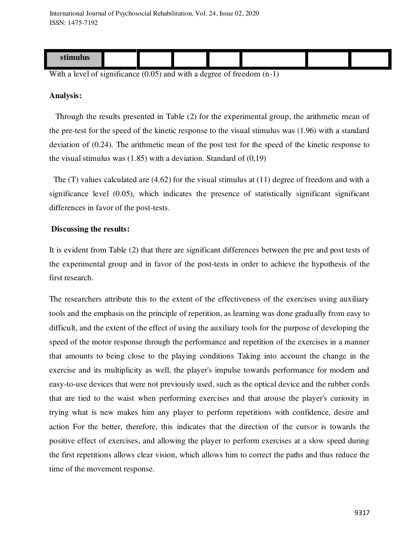| ™uuu⊾ |  |  |  |  |
|-------|--|--|--|--|

With a level of significance (0.05) and with a degree of freedom  $(n-1)$ 

#### **Analysis:**

 Through the results presented in Table (2) for the experimental group, the arithmetic mean of the pre-test for the speed of the kinetic response to the visual stimulus was (1.96) with a standard deviation of (0.24). The arithmetic mean of the post test for the speed of the kinetic response to the visual stimulus was  $(1.85)$  with a deviation. Standard of  $(0.19)$ 

 The (T) values calculated are (4.62) for the visual stimulus at (11) degree of freedom and with a significance level (0.05), which indicates the presence of statistically significant significant differences in favor of the post-tests.

#### **Discussing the results:**

It is evident from Table (2) that there are significant differences between the pre and post tests of the experimental group and in favor of the post-tests in order to achieve the hypothesis of the first research.

The researchers attribute this to the extent of the effectiveness of the exercises using auxiliary tools and the emphasis on the principle of repetition, as learning was done gradually from easy to difficult, and the extent of the effect of using the auxiliary tools for the purpose of developing the speed of the motor response through the performance and repetition of the exercises in a manner that amounts to being close to the playing conditions Taking into account the change in the exercise and its multiplicity as well, the player's impulse towards performance for modern and easy-to-use devices that were not previously used, such as the optical device and the rubber cords that are tied to the waist when performing exercises and that arouse the player's curiosity in trying what is new makes him any player to perform repetitions with confidence, desire and action For the better, therefore, this indicates that the direction of the cursor is towards the positive effect of exercises, and allowing the player to perform exercises at a slow speed during the first repetitions allows clear vision, which allows him to correct the paths and thus reduce the time of the movement response.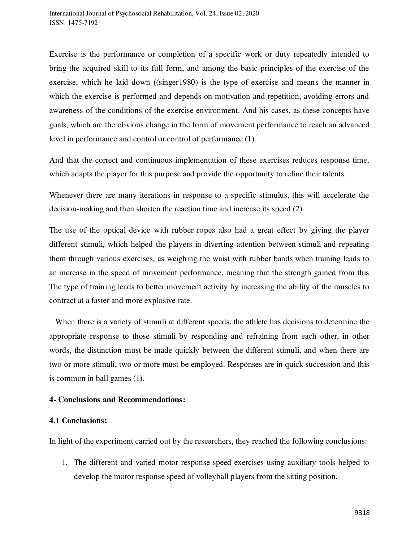Exercise is the performance or completion of a specific work or duty repeatedly intended to bring the acquired skill to its full form, and among the basic principles of the exercise of the exercise, which he laid down ((singer1980) is the type of exercise and means the manner in which the exercise is performed and depends on motivation and repetition, avoiding errors and awareness of the conditions of the exercise environment. And his cases, as these concepts have goals, which are the obvious change in the form of movement performance to reach an advanced level in performance and control or control of performance (1).

And that the correct and continuous implementation of these exercises reduces response time, which adapts the player for this purpose and provide the opportunity to refine their talents.

Whenever there are many iterations in response to a specific stimulus, this will accelerate the decision-making and then shorten the reaction time and increase its speed (2).

The use of the optical device with rubber ropes also had a great effect by giving the player different stimuli, which helped the players in diverting attention between stimuli and repeating them through various exercises, as weighing the waist with rubber bands when training leads to an increase in the speed of movement performance, meaning that the strength gained from this The type of training leads to better movement activity by increasing the ability of the muscles to contract at a faster and more explosive rate.

 When there is a variety of stimuli at different speeds, the athlete has decisions to determine the appropriate response to those stimuli by responding and refraining from each other, in other words, the distinction must be made quickly between the different stimuli, and when there are two or more stimuli, two or more must be employed. Responses are in quick succession and this is common in ball games (1).

#### **4- Conclusions and Recommendations:**

#### **4.1 Conclusions:**

In light of the experiment carried out by the researchers, they reached the following conclusions:

1. The different and varied motor response speed exercises using auxiliary tools helped to develop the motor response speed of volleyball players from the sitting position.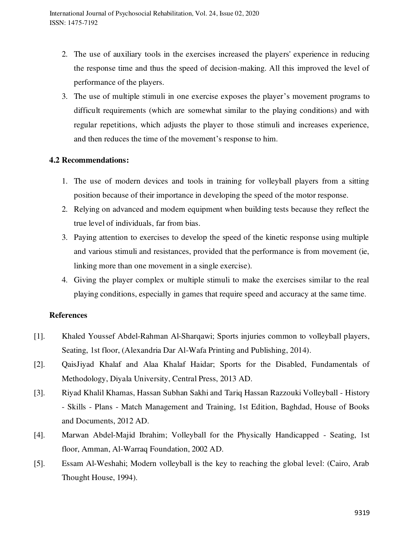- 2. The use of auxiliary tools in the exercises increased the players' experience in reducing the response time and thus the speed of decision-making. All this improved the level of performance of the players.
- 3. The use of multiple stimuli in one exercise exposes the player's movement programs to difficult requirements (which are somewhat similar to the playing conditions) and with regular repetitions, which adjusts the player to those stimuli and increases experience, and then reduces the time of the movement's response to him.

#### **4.2 Recommendations:**

- 1. The use of modern devices and tools in training for volleyball players from a sitting position because of their importance in developing the speed of the motor response.
- 2. Relying on advanced and modern equipment when building tests because they reflect the true level of individuals, far from bias.
- 3. Paying attention to exercises to develop the speed of the kinetic response using multiple and various stimuli and resistances, provided that the performance is from movement (ie, linking more than one movement in a single exercise).
- 4. Giving the player complex or multiple stimuli to make the exercises similar to the real playing conditions, especially in games that require speed and accuracy at the same time.

### **References**

- [1]. Khaled Youssef Abdel-Rahman Al-Sharqawi; Sports injuries common to volleyball players, Seating, 1st floor, (Alexandria Dar Al-Wafa Printing and Publishing, 2014).
- [2]. QaisJiyad Khalaf and Alaa Khalaf Haidar; Sports for the Disabled, Fundamentals of Methodology, Diyala University, Central Press, 2013 AD.
- [3]. Riyad Khalil Khamas, Hassan Subhan Sakhi and Tariq Hassan Razzouki Volleyball History - Skills - Plans - Match Management and Training, 1st Edition, Baghdad, House of Books and Documents, 2012 AD.
- [4]. Marwan Abdel-Majid Ibrahim; Volleyball for the Physically Handicapped Seating, 1st floor, Amman, Al-Warraq Foundation, 2002 AD.
- [5]. Essam Al-Weshahi; Modern volleyball is the key to reaching the global level: (Cairo, Arab Thought House, 1994).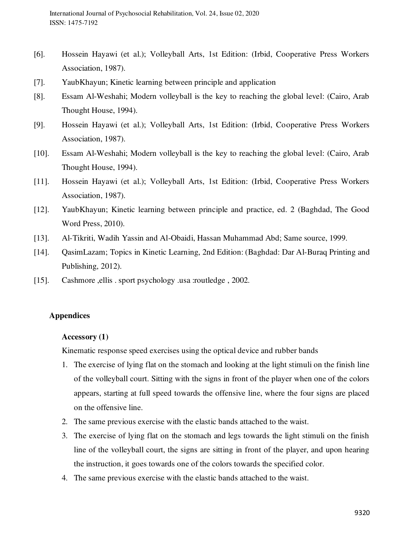- [6]. Hossein Hayawi (et al.); Volleyball Arts, 1st Edition: (Irbid, Cooperative Press Workers Association, 1987).
- [7]. YaubKhayun; Kinetic learning between principle and application
- [8]. Essam Al-Weshahi; Modern volleyball is the key to reaching the global level: (Cairo, Arab Thought House, 1994).
- [9]. Hossein Hayawi (et al.); Volleyball Arts, 1st Edition: (Irbid, Cooperative Press Workers Association, 1987).
- [10]. Essam Al-Weshahi; Modern volleyball is the key to reaching the global level: (Cairo, Arab Thought House, 1994).
- [11]. Hossein Hayawi (et al.); Volleyball Arts, 1st Edition: (Irbid, Cooperative Press Workers Association, 1987).
- [12]. YaubKhayun; Kinetic learning between principle and practice, ed. 2 (Baghdad, The Good Word Press, 2010).
- [13]. Al-Tikriti, Wadih Yassin and Al-Obaidi, Hassan Muhammad Abd; Same source, 1999.
- [14]. QasimLazam; Topics in Kinetic Learning, 2nd Edition: (Baghdad: Dar Al-Buraq Printing and Publishing, 2012).
- [15]. Cashmore ,ellis . sport psychology .usa :routledge , 2002.

### **Appendices**

#### **Accessory (1)**

Kinematic response speed exercises using the optical device and rubber bands

- 1. The exercise of lying flat on the stomach and looking at the light stimuli on the finish line of the volleyball court. Sitting with the signs in front of the player when one of the colors appears, starting at full speed towards the offensive line, where the four signs are placed on the offensive line.
- 2. The same previous exercise with the elastic bands attached to the waist.
- 3. The exercise of lying flat on the stomach and legs towards the light stimuli on the finish line of the volleyball court, the signs are sitting in front of the player, and upon hearing the instruction, it goes towards one of the colors towards the specified color.
- 4. The same previous exercise with the elastic bands attached to the waist.